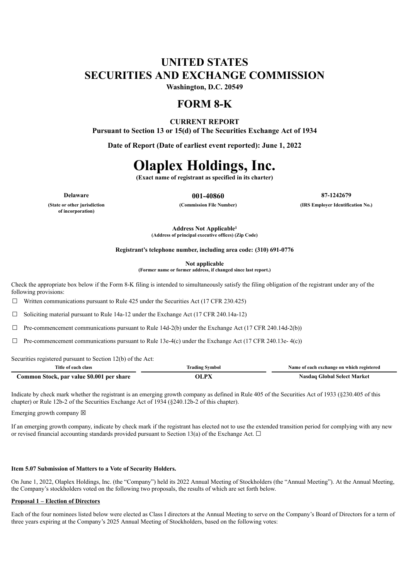## **UNITED STATES SECURITIES AND EXCHANGE COMMISSION**

**Washington, D.C. 20549**

### **FORM 8-K**

#### **CURRENT REPORT**

**Pursuant to Section 13 or 15(d) of The Securities Exchange Act of 1934**

**Date of Report (Date of earliest event reported): June 1, 2022**

# **Olaplex Holdings, Inc.**

**(Exact name of registrant as specified in its charter)**

**Delaware 001-40860 87-1242679 (Commission File Number) (IRS Employer Identification No.)**

**(State or other jurisdiction of incorporation)**

> **Address Not Applicable 1(Address of principal executive offices) (Zip Code)**

**Registrant's telephone number, including area code: (310) 691-0776**

**Not applicable (Former name or former address, if changed since last report.)**

Check the appropriate box below if the Form 8-K filing is intended to simultaneously satisfy the filing obligation of the registrant under any of the following provisions:

☐ Written communications pursuant to Rule 425 under the Securities Act (17 CFR 230.425)

 $\Box$  Soliciting material pursuant to Rule 14a-12 under the Exchange Act (17 CFR 240.14a-12)

 $\Box$  Pre-commencement communications pursuant to Rule 14d-2(b) under the Exchange Act (17 CFR 240.14d-2(b))

 $\Box$  Pre-commencement communications pursuant to Rule 13e-4(c) under the Exchange Act (17 CFR 240.13e- 4(c))

Securities registered pursuant to Section 12(b) of the Act:

| Title of each class                       | <b>Trading Symbol</b> | Name of each exchange on which registered |
|-------------------------------------------|-----------------------|-------------------------------------------|
| Common Stock, par value \$0.001 per share | <b>OLPX</b>           | <b>Nasdaq Global Select Market</b>        |

Indicate by check mark whether the registrant is an emerging growth company as defined in Rule 405 of the Securities Act of 1933 (§230.405 of this chapter) or Rule 12b-2 of the Securities Exchange Act of 1934 (§240.12b-2 of this chapter).

Emerging growth company  $\boxtimes$ 

If an emerging growth company, indicate by check mark if the registrant has elected not to use the extended transition period for complying with any new or revised financial accounting standards provided pursuant to Section 13(a) of the Exchange Act.  $\Box$ 

#### **Item 5.07 Submission of Matters to a Vote of Security Holders.**

On June 1, 2022, Olaplex Holdings, Inc. (the "Company") held its 2022 Annual Meeting of Stockholders (the "Annual Meeting"). At the Annual Meeting, the Company's stockholders voted on the following two proposals, the results of which are set forth below.

#### **Proposal 1 – Election of Directors**

Each of the four nominees listed below were elected as Class I directors at the Annual Meeting to serve on the Company's Board of Directors for a term of three years expiring at the Company's 2025 Annual Meeting of Stockholders, based on the following votes: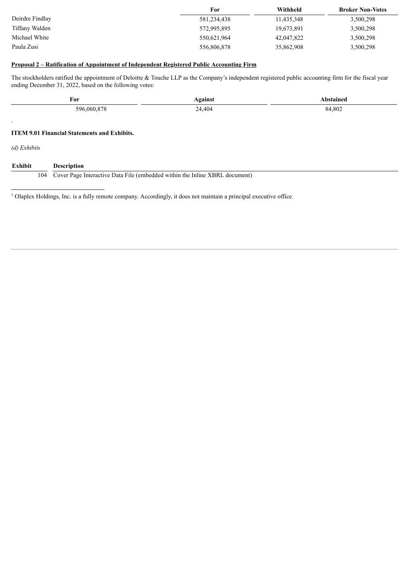|                 | For         | Withheld   | <b>Broker Non-Votes</b> |
|-----------------|-------------|------------|-------------------------|
| Deirdre Findlay | 581,234,438 | 11,435,348 | 3,500,298               |
| Tiffany Walden  | 572,995,895 | 19,673,891 | 3,500,298               |
| Michael White   | 550,621,964 | 42,047,822 | 3,500,298               |
| Paula Zusi      | 556,806,878 | 35,862,908 | 3,500,298               |

#### **Proposal 2 – Ratification of Appointment of Independent Registered Public Accounting Firm**

The stockholders ratified the appointment of Deloitte & Touche LLP as the Company's independent registered public accounting firm for the fiscal year ending December 31, 2022, based on the following votes:

| For<br>596,060,878   |                                                     | <b>Against</b> | Abstained |  |
|----------------------|-----------------------------------------------------|----------------|-----------|--|
|                      |                                                     | 24,404         | 84,802    |  |
| $\ddot{\phantom{1}}$ |                                                     |                |           |  |
|                      | <b>ITEM 9.01 Financial Statements and Exhibits.</b> |                |           |  |
| $(d)$ Exhibits       |                                                     |                |           |  |
| Exhibit              | <b>Description</b>                                  |                |           |  |

 $<sup>1</sup>$  Olaplex Holdings, Inc. is a fully remote company. Accordingly, it does not maintain a principal executive office.</sup>

104 Cover Page Interactive Data File (embedded within the Inline XBRL document)